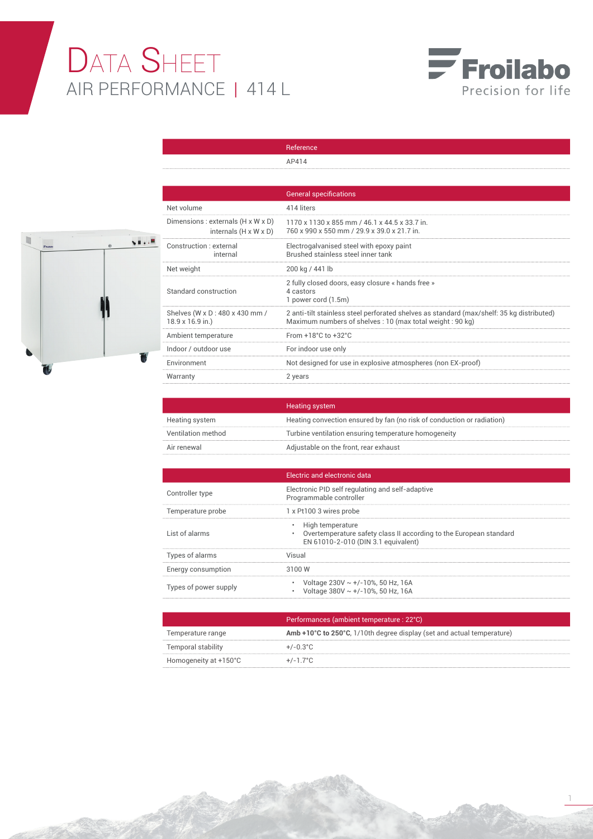## DATA SHEET AIR PERFORMANCE | 414 L



1



|                                                                         | AP414                                                                                                                                                 |
|-------------------------------------------------------------------------|-------------------------------------------------------------------------------------------------------------------------------------------------------|
|                                                                         |                                                                                                                                                       |
|                                                                         | <b>General specifications</b>                                                                                                                         |
| Net volume                                                              | 414 liters                                                                                                                                            |
| Dimensions : externals (H x W x D)<br>internals $(H \times W \times D)$ | 1170 x 1130 x 855 mm / 46.1 x 44.5 x 33.7 in.<br>760 x 990 x 550 mm / 29.9 x 39.0 x 21.7 in.                                                          |
| Construction · external<br>internal                                     | Electrogalvanised steel with epoxy paint<br>Brushed stainless steel inner tank                                                                        |
| Net weight                                                              | 200 kg / 441 lb                                                                                                                                       |
| Standard construction                                                   | 2 fully closed doors, easy closure « hands free »<br>4 castors<br>1 power cord (1.5m)                                                                 |
| Shelves (W x D : 480 x 430 mm /<br>18.9 x 16.9 in.)                     | 2 anti-tilt stainless steel perforated shelves as standard (max/shelf: 35 kg distributed)<br>Maximum numbers of shelves: 10 (max total weight: 90 kg) |
| Ambient temperature                                                     | From $+18^{\circ}$ C to $+32^{\circ}$ C                                                                                                               |
| Indoor / outdoor use                                                    | For indoor use only                                                                                                                                   |
| Environment                                                             | Not designed for use in explosive atmospheres (non EX-proof)                                                                                          |
| Warranty                                                                | 2 years                                                                                                                                               |

Reference

|                    | <b>Heating system</b>                                                  |
|--------------------|------------------------------------------------------------------------|
| Heating system     | Heating convection ensured by fan (no risk of conduction or radiation) |
| Ventilation method | Turbine ventilation ensuring temperature homogeneity                   |
| Air renewal        | Adjustable on the front, rear exhaust                                  |

|                       | Electric and electronic data                                                                                                    |
|-----------------------|---------------------------------------------------------------------------------------------------------------------------------|
| Controller type       | Electronic PID self regulating and self-adaptive<br>Programmable controller                                                     |
| Temperature probe     | 1 x Pt100 3 wires probe                                                                                                         |
| List of alarms        | • High temperature<br>Overtemperature safety class II according to the European standard<br>EN 61010-2-010 (DIN 3.1 equivalent) |
| Types of alarms       | Visual                                                                                                                          |
| Energy consumption    | 3100 W                                                                                                                          |
| Types of power supply | Voltage $230V \sim +/-10$ %, 50 Hz, 16A<br>Voltage 380V $\sim$ +/-10%, 50 Hz, 16A                                               |

|                       | Performances (ambient temperature : 22°C)                              |
|-----------------------|------------------------------------------------------------------------|
| Temperature range     | Amb +10°C to 250°C, 1/10th degree display (set and actual temperature) |
| Temporal stability    | $+/-0.3^{\circ}$ C                                                     |
| Homogeneity at +150°C | $+/-1.7^{\circ}$ C                                                     |